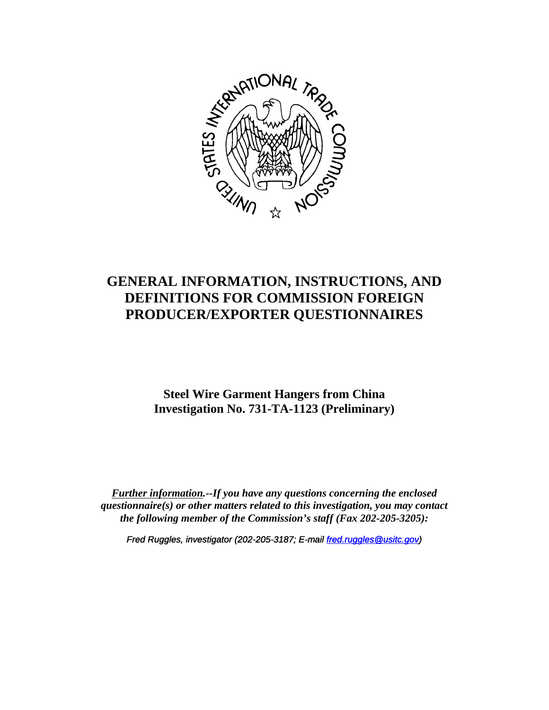

# **GENERAL INFORMATION, INSTRUCTIONS, AND DEFINITIONS FOR COMMISSION FOREIGN PRODUCER/EXPORTER QUESTIONNAIRES**

# **Steel Wire Garment Hangers from China Investigation No. 731-TA-1123 (Preliminary)**

*Further information.--If you have any questions concerning the enclosed questionnaire(s) or other matters related to this investigation, you may contact the following member of the Commission's staff (Fax 202-205-3205):*

*Fred Ruggles, investigator (202-205-3187; E-mail fred.ruggles@usitc.gov)*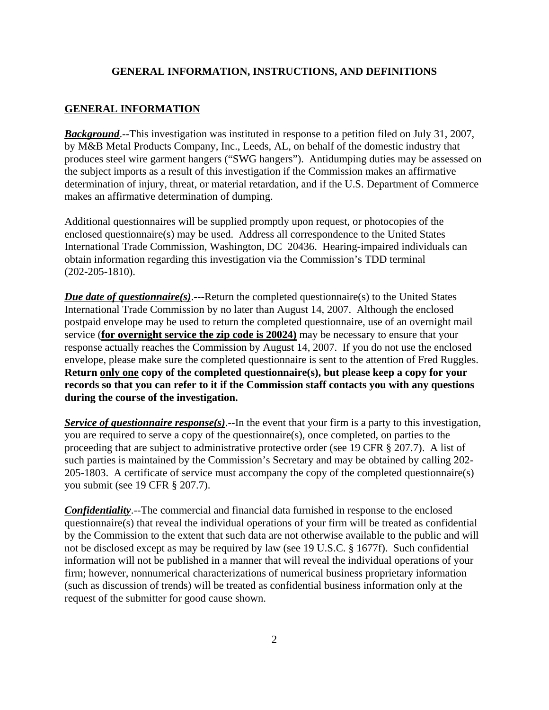#### **GENERAL INFORMATION, INSTRUCTIONS, AND DEFINITIONS**

#### **GENERAL INFORMATION**

*Background*.--This investigation was instituted in response to a petition filed on July 31, 2007, by M&B Metal Products Company, Inc., Leeds, AL, on behalf of the domestic industry that produces steel wire garment hangers ("SWG hangers"). Antidumping duties may be assessed on the subject imports as a result of this investigation if the Commission makes an affirmative determination of injury, threat, or material retardation, and if the U.S. Department of Commerce makes an affirmative determination of dumping.

Additional questionnaires will be supplied promptly upon request, or photocopies of the enclosed questionnaire(s) may be used. Address all correspondence to the United States International Trade Commission, Washington, DC 20436. Hearing-impaired individuals can obtain information regarding this investigation via the Commission's TDD terminal (202-205-1810).

*Due date of questionnaire(s)*.---Return the completed questionnaire(s) to the United States International Trade Commission by no later than August 14, 2007. Although the enclosed postpaid envelope may be used to return the completed questionnaire, use of an overnight mail service (**for overnight service the zip code is 20024)** may be necessary to ensure that your response actually reaches the Commission by August 14, 2007. If you do not use the enclosed envelope, please make sure the completed questionnaire is sent to the attention of Fred Ruggles. **Return only one copy of the completed questionnaire(s), but please keep a copy for your records so that you can refer to it if the Commission staff contacts you with any questions during the course of the investigation.**

*Service of questionnaire response(s)*.--In the event that your firm is a party to this investigation, you are required to serve a copy of the questionnaire(s), once completed, on parties to the proceeding that are subject to administrative protective order (see 19 CFR § 207.7). A list of such parties is maintained by the Commission's Secretary and may be obtained by calling 202- 205-1803. A certificate of service must accompany the copy of the completed questionnaire(s) you submit (see 19 CFR § 207.7).

*Confidentiality*.--The commercial and financial data furnished in response to the enclosed questionnaire(s) that reveal the individual operations of your firm will be treated as confidential by the Commission to the extent that such data are not otherwise available to the public and will not be disclosed except as may be required by law (see 19 U.S.C. § 1677f). Such confidential information will not be published in a manner that will reveal the individual operations of your firm; however, nonnumerical characterizations of numerical business proprietary information (such as discussion of trends) will be treated as confidential business information only at the request of the submitter for good cause shown.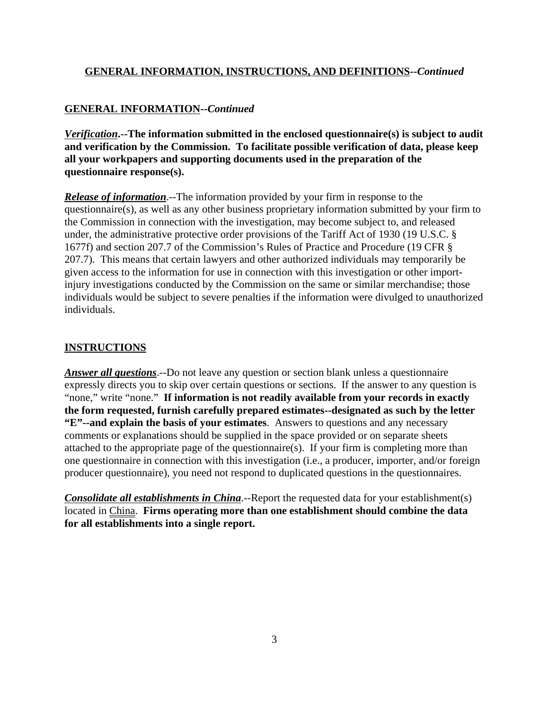#### **GENERAL INFORMATION, INSTRUCTIONS, AND DEFINITIONS--***Continued*

# **GENERAL INFORMATION--***Continued*

*Verification***.--The information submitted in the enclosed questionnaire(s) is subject to audit and verification by the Commission. To facilitate possible verification of data, please keep all your workpapers and supporting documents used in the preparation of the questionnaire response(s).**

*Release of information*.--The information provided by your firm in response to the questionnaire(s), as well as any other business proprietary information submitted by your firm to the Commission in connection with the investigation, may become subject to, and released under, the administrative protective order provisions of the Tariff Act of 1930 (19 U.S.C. § 1677f) and section 207.7 of the Commission's Rules of Practice and Procedure (19 CFR § 207.7). This means that certain lawyers and other authorized individuals may temporarily be given access to the information for use in connection with this investigation or other importinjury investigations conducted by the Commission on the same or similar merchandise; those individuals would be subject to severe penalties if the information were divulged to unauthorized individuals.

#### **INSTRUCTIONS**

*Answer all questions*.--Do not leave any question or section blank unless a questionnaire expressly directs you to skip over certain questions or sections. If the answer to any question is "none," write "none." **If information is not readily available from your records in exactly the form requested, furnish carefully prepared estimates--designated as such by the letter "E"--and explain the basis of your estimates**. Answers to questions and any necessary comments or explanations should be supplied in the space provided or on separate sheets attached to the appropriate page of the questionnaire(s). If your firm is completing more than one questionnaire in connection with this investigation (i.e., a producer, importer, and/or foreign producer questionnaire), you need not respond to duplicated questions in the questionnaires.

*Consolidate all establishments in China*.--Report the requested data for your establishment(s) located in China. **Firms operating more than one establishment should combine the data for all establishments into a single report.**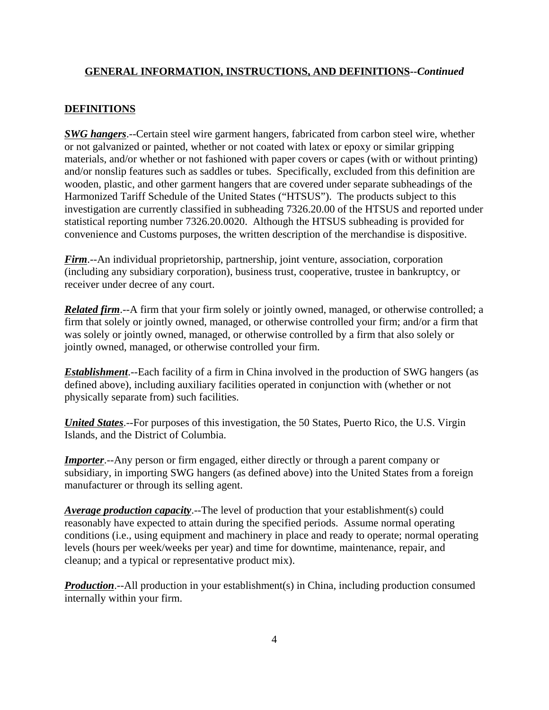#### **GENERAL INFORMATION, INSTRUCTIONS, AND DEFINITIONS--***Continued*

#### **DEFINITIONS**

*SWG hangers*.--Certain steel wire garment hangers, fabricated from carbon steel wire, whether or not galvanized or painted, whether or not coated with latex or epoxy or similar gripping materials, and/or whether or not fashioned with paper covers or capes (with or without printing) and/or nonslip features such as saddles or tubes. Specifically, excluded from this definition are wooden, plastic, and other garment hangers that are covered under separate subheadings of the Harmonized Tariff Schedule of the United States ("HTSUS"). The products subject to this investigation are currently classified in subheading 7326.20.00 of the HTSUS and reported under statistical reporting number 7326.20.0020. Although the HTSUS subheading is provided for convenience and Customs purposes, the written description of the merchandise is dispositive.

*Firm*.--An individual proprietorship, partnership, joint venture, association, corporation (including any subsidiary corporation), business trust, cooperative, trustee in bankruptcy, or receiver under decree of any court.

*Related firm.*--A firm that your firm solely or jointly owned, managed, or otherwise controlled; a firm that solely or jointly owned, managed, or otherwise controlled your firm; and/or a firm that was solely or jointly owned, managed, or otherwise controlled by a firm that also solely or jointly owned, managed, or otherwise controlled your firm.

*Establishment*.--Each facility of a firm in China involved in the production of SWG hangers (as defined above), including auxiliary facilities operated in conjunction with (whether or not physically separate from) such facilities.

*United States*.--For purposes of this investigation, the 50 States, Puerto Rico, the U.S. Virgin Islands, and the District of Columbia.

*Importer.*--Any person or firm engaged, either directly or through a parent company or subsidiary, in importing SWG hangers (as defined above) into the United States from a foreign manufacturer or through its selling agent.

*Average production capacity*.--The level of production that your establishment(s) could reasonably have expected to attain during the specified periods. Assume normal operating conditions (i.e., using equipment and machinery in place and ready to operate; normal operating levels (hours per week/weeks per year) and time for downtime, maintenance, repair, and cleanup; and a typical or representative product mix).

*Production*.--All production in your establishment(s) in China, including production consumed internally within your firm.